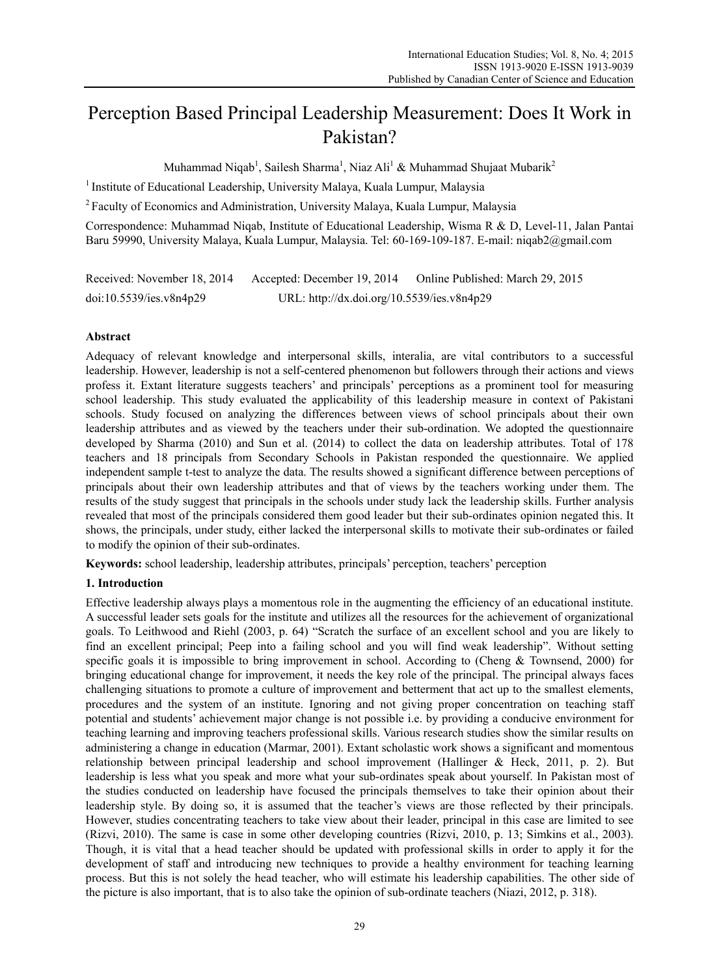# Perception Based Principal Leadership Measurement: Does It Work in Pakistan?

Muhammad Niqab<sup>1</sup>, Sailesh Sharma<sup>1</sup>, Niaz Ali<sup>1</sup> & Muhammad Shujaat Mubarik<sup>2</sup>

<sup>1</sup> Institute of Educational Leadership, University Malaya, Kuala Lumpur, Malaysia

<sup>2</sup> Faculty of Economics and Administration, University Malaya, Kuala Lumpur, Malaysia

Correspondence: Muhammad Niqab, Institute of Educational Leadership, Wisma R & D, Level-11, Jalan Pantai Baru 59990, University Malaya, Kuala Lumpur, Malaysia. Tel: 60-169-109-187. E-mail: niqab2@gmail.com

| Received: November 18, 2014 | Accepted: December 19, 2014                | Online Published: March 29, 2015 |
|-----------------------------|--------------------------------------------|----------------------------------|
| doi:10.5539/ies.v8n4p29     | URL: http://dx.doi.org/10.5539/ies.v8n4p29 |                                  |

# **Abstract**

Adequacy of relevant knowledge and interpersonal skills, interalia, are vital contributors to a successful leadership. However, leadership is not a self-centered phenomenon but followers through their actions and views profess it. Extant literature suggests teachers' and principals' perceptions as a prominent tool for measuring school leadership. This study evaluated the applicability of this leadership measure in context of Pakistani schools. Study focused on analyzing the differences between views of school principals about their own leadership attributes and as viewed by the teachers under their sub-ordination. We adopted the questionnaire developed by Sharma (2010) and Sun et al. (2014) to collect the data on leadership attributes. Total of 178 teachers and 18 principals from Secondary Schools in Pakistan responded the questionnaire. We applied independent sample t-test to analyze the data. The results showed a significant difference between perceptions of principals about their own leadership attributes and that of views by the teachers working under them. The results of the study suggest that principals in the schools under study lack the leadership skills. Further analysis revealed that most of the principals considered them good leader but their sub-ordinates opinion negated this. It shows, the principals, under study, either lacked the interpersonal skills to motivate their sub-ordinates or failed to modify the opinion of their sub-ordinates.

**Keywords:** school leadership, leadership attributes, principals' perception, teachers' perception

# **1. Introduction**

Effective leadership always plays a momentous role in the augmenting the efficiency of an educational institute. A successful leader sets goals for the institute and utilizes all the resources for the achievement of organizational goals. To Leithwood and Riehl (2003, p. 64) "Scratch the surface of an excellent school and you are likely to find an excellent principal; Peep into a failing school and you will find weak leadership". Without setting specific goals it is impossible to bring improvement in school. According to (Cheng & Townsend, 2000) for bringing educational change for improvement, it needs the key role of the principal. The principal always faces challenging situations to promote a culture of improvement and betterment that act up to the smallest elements, procedures and the system of an institute. Ignoring and not giving proper concentration on teaching staff potential and students' achievement major change is not possible i.e. by providing a conducive environment for teaching learning and improving teachers professional skills. Various research studies show the similar results on administering a change in education (Marmar, 2001). Extant scholastic work shows a significant and momentous relationship between principal leadership and school improvement (Hallinger & Heck, 2011, p. 2). But leadership is less what you speak and more what your sub-ordinates speak about yourself. In Pakistan most of the studies conducted on leadership have focused the principals themselves to take their opinion about their leadership style. By doing so, it is assumed that the teacher's views are those reflected by their principals. However, studies concentrating teachers to take view about their leader, principal in this case are limited to see (Rizvi, 2010). The same is case in some other developing countries (Rizvi, 2010, p. 13; Simkins et al., 2003). Though, it is vital that a head teacher should be updated with professional skills in order to apply it for the development of staff and introducing new techniques to provide a healthy environment for teaching learning process. But this is not solely the head teacher, who will estimate his leadership capabilities. The other side of the picture is also important, that is to also take the opinion of sub-ordinate teachers (Niazi, 2012, p. 318).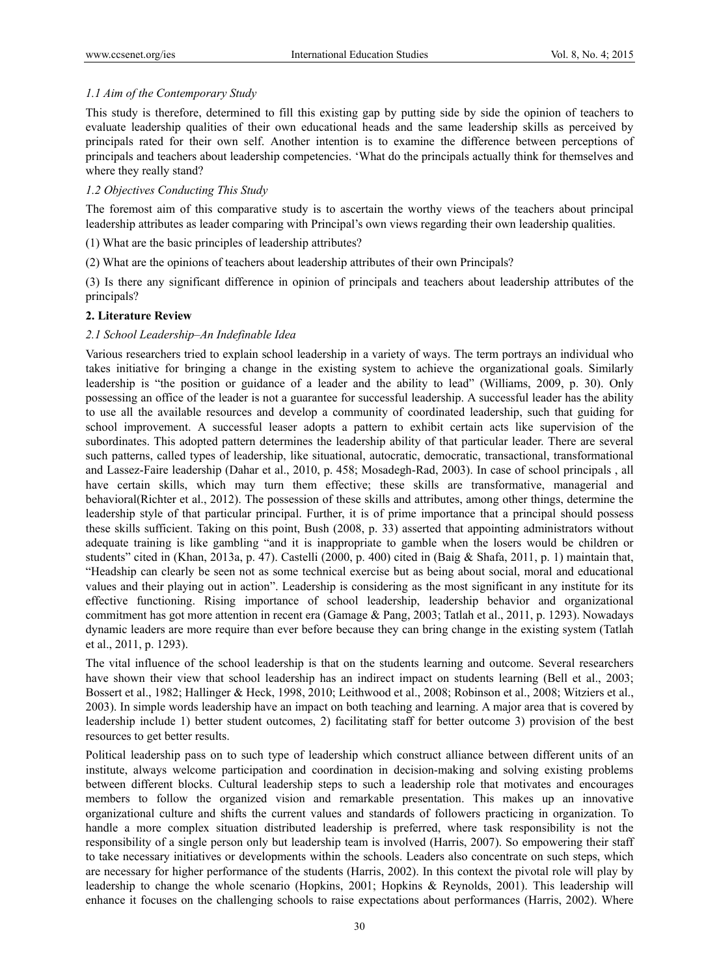# *1.1 Aim of the Contemporary Study*

This study is therefore, determined to fill this existing gap by putting side by side the opinion of teachers to evaluate leadership qualities of their own educational heads and the same leadership skills as perceived by principals rated for their own self. Another intention is to examine the difference between perceptions of principals and teachers about leadership competencies. 'What do the principals actually think for themselves and where they really stand?

# *1.2 Objectives Conducting This Study*

The foremost aim of this comparative study is to ascertain the worthy views of the teachers about principal leadership attributes as leader comparing with Principal's own views regarding their own leadership qualities.

(1) What are the basic principles of leadership attributes?

(2) What are the opinions of teachers about leadership attributes of their own Principals?

(3) Is there any significant difference in opinion of principals and teachers about leadership attributes of the principals?

# **2. Literature Review**

# *2.1 School Leadership–An Indefinable Idea*

Various researchers tried to explain school leadership in a variety of ways. The term portrays an individual who takes initiative for bringing a change in the existing system to achieve the organizational goals. Similarly leadership is "the position or guidance of a leader and the ability to lead" (Williams, 2009, p. 30). Only possessing an office of the leader is not a guarantee for successful leadership. A successful leader has the ability to use all the available resources and develop a community of coordinated leadership, such that guiding for school improvement. A successful leaser adopts a pattern to exhibit certain acts like supervision of the subordinates. This adopted pattern determines the leadership ability of that particular leader. There are several such patterns, called types of leadership, like situational, autocratic, democratic, transactional, transformational and Lassez-Faire leadership (Dahar et al., 2010, p. 458; Mosadegh-Rad, 2003). In case of school principals , all have certain skills, which may turn them effective; these skills are transformative, managerial and behavioral(Richter et al., 2012). The possession of these skills and attributes, among other things, determine the leadership style of that particular principal. Further, it is of prime importance that a principal should possess these skills sufficient. Taking on this point, Bush (2008, p. 33) asserted that appointing administrators without adequate training is like gambling "and it is inappropriate to gamble when the losers would be children or students" cited in (Khan, 2013a, p. 47). Castelli (2000, p. 400) cited in (Baig & Shafa, 2011, p. 1) maintain that, "Headship can clearly be seen not as some technical exercise but as being about social, moral and educational values and their playing out in action". Leadership is considering as the most significant in any institute for its effective functioning. Rising importance of school leadership, leadership behavior and organizational commitment has got more attention in recent era (Gamage & Pang, 2003; Tatlah et al., 2011, p. 1293). Nowadays dynamic leaders are more require than ever before because they can bring change in the existing system (Tatlah et al., 2011, p. 1293).

The vital influence of the school leadership is that on the students learning and outcome. Several researchers have shown their view that school leadership has an indirect impact on students learning (Bell et al., 2003; Bossert et al., 1982; Hallinger & Heck, 1998, 2010; Leithwood et al., 2008; Robinson et al., 2008; Witziers et al., 2003). In simple words leadership have an impact on both teaching and learning. A major area that is covered by leadership include 1) better student outcomes, 2) facilitating staff for better outcome 3) provision of the best resources to get better results.

Political leadership pass on to such type of leadership which construct alliance between different units of an institute, always welcome participation and coordination in decision-making and solving existing problems between different blocks. Cultural leadership steps to such a leadership role that motivates and encourages members to follow the organized vision and remarkable presentation. This makes up an innovative organizational culture and shifts the current values and standards of followers practicing in organization. To handle a more complex situation distributed leadership is preferred, where task responsibility is not the responsibility of a single person only but leadership team is involved (Harris, 2007). So empowering their staff to take necessary initiatives or developments within the schools. Leaders also concentrate on such steps, which are necessary for higher performance of the students (Harris, 2002). In this context the pivotal role will play by leadership to change the whole scenario (Hopkins, 2001; Hopkins & Reynolds, 2001). This leadership will enhance it focuses on the challenging schools to raise expectations about performances (Harris, 2002). Where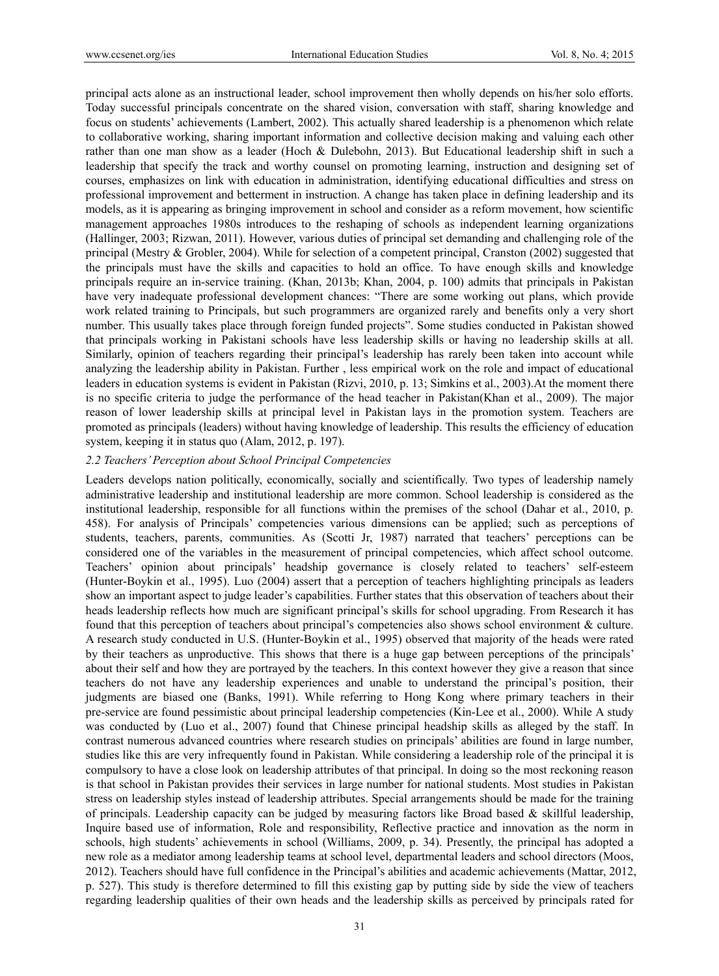principal acts alone as an instructional leader, school improvement then wholly depends on his/her solo efforts. Today successful principals concentrate on the shared vision, conversation with staff, sharing knowledge and focus on students' achievements (Lambert, 2002). This actually shared leadership is a phenomenon which relate to collaborative working, sharing important information and collective decision making and valuing each other rather than one man show as a leader (Hoch & Dulebohn, 2013). But Educational leadership shift in such a leadership that specify the track and worthy counsel on promoting learning, instruction and designing set of courses, emphasizes on link with education in administration, identifying educational difficulties and stress on professional improvement and betterment in instruction. A change has taken place in defining leadership and its models, as it is appearing as bringing improvement in school and consider as a reform movement, how scientific management approaches 1980s introduces to the reshaping of schools as independent learning organizations (Hallinger, 2003; Rizwan, 2011). However, various duties of principal set demanding and challenging role of the principal (Mestry & Grobler, 2004). While for selection of a competent principal, Cranston (2002) suggested that the principals must have the skills and capacities to hold an office. To have enough skills and knowledge principals require an in-service training. (Khan, 2013b; Khan, 2004, p. 100) admits that principals in Pakistan have very inadequate professional development chances: "There are some working out plans, which provide work related training to Principals, but such programmers are organized rarely and benefits only a very short number. This usually takes place through foreign funded projects". Some studies conducted in Pakistan showed that principals working in Pakistani schools have less leadership skills or having no leadership skills at all. Similarly, opinion of teachers regarding their principal's leadership has rarely been taken into account while analyzing the leadership ability in Pakistan. Further , less empirical work on the role and impact of educational leaders in education systems is evident in Pakistan (Rizvi, 2010, p. 13; Simkins et al., 2003).At the moment there is no specific criteria to judge the performance of the head teacher in Pakistan(Khan et al., 2009). The major reason of lower leadership skills at principal level in Pakistan lays in the promotion system. Teachers are promoted as principals (leaders) without having knowledge of leadership. This results the efficiency of education system, keeping it in status quo (Alam, 2012, p. 197).

#### *2.2 Teachers' Perception about School Principal Competencies*

Leaders develops nation politically, economically, socially and scientifically. Two types of leadership namely administrative leadership and institutional leadership are more common. School leadership is considered as the institutional leadership, responsible for all functions within the premises of the school (Dahar et al., 2010, p. 458). For analysis of Principals' competencies various dimensions can be applied; such as perceptions of students, teachers, parents, communities. As (Scotti Jr, 1987) narrated that teachers' perceptions can be considered one of the variables in the measurement of principal competencies, which affect school outcome. Teachers' opinion about principals' headship governance is closely related to teachers' self-esteem (Hunter-Boykin et al., 1995). Luo (2004) assert that a perception of teachers highlighting principals as leaders show an important aspect to judge leader's capabilities. Further states that this observation of teachers about their heads leadership reflects how much are significant principal's skills for school upgrading. From Research it has found that this perception of teachers about principal's competencies also shows school environment & culture. A research study conducted in U.S. (Hunter-Boykin et al., 1995) observed that majority of the heads were rated by their teachers as unproductive. This shows that there is a huge gap between perceptions of the principals' about their self and how they are portrayed by the teachers. In this context however they give a reason that since teachers do not have any leadership experiences and unable to understand the principal's position, their judgments are biased one (Banks, 1991). While referring to Hong Kong where primary teachers in their pre-service are found pessimistic about principal leadership competencies (Kin-Lee et al., 2000). While A study was conducted by (Luo et al., 2007) found that Chinese principal headship skills as alleged by the staff. In contrast numerous advanced countries where research studies on principals' abilities are found in large number, studies like this are very infrequently found in Pakistan. While considering a leadership role of the principal it is compulsory to have a close look on leadership attributes of that principal. In doing so the most reckoning reason is that school in Pakistan provides their services in large number for national students. Most studies in Pakistan stress on leadership styles instead of leadership attributes. Special arrangements should be made for the training of principals. Leadership capacity can be judged by measuring factors like Broad based & skillful leadership, Inquire based use of information, Role and responsibility, Reflective practice and innovation as the norm in schools, high students' achievements in school (Williams, 2009, p. 34). Presently, the principal has adopted a new role as a mediator among leadership teams at school level, departmental leaders and school directors (Moos, 2012). Teachers should have full confidence in the Principal's abilities and academic achievements (Mattar, 2012, p. 527). This study is therefore determined to fill this existing gap by putting side by side the view of teachers regarding leadership qualities of their own heads and the leadership skills as perceived by principals rated for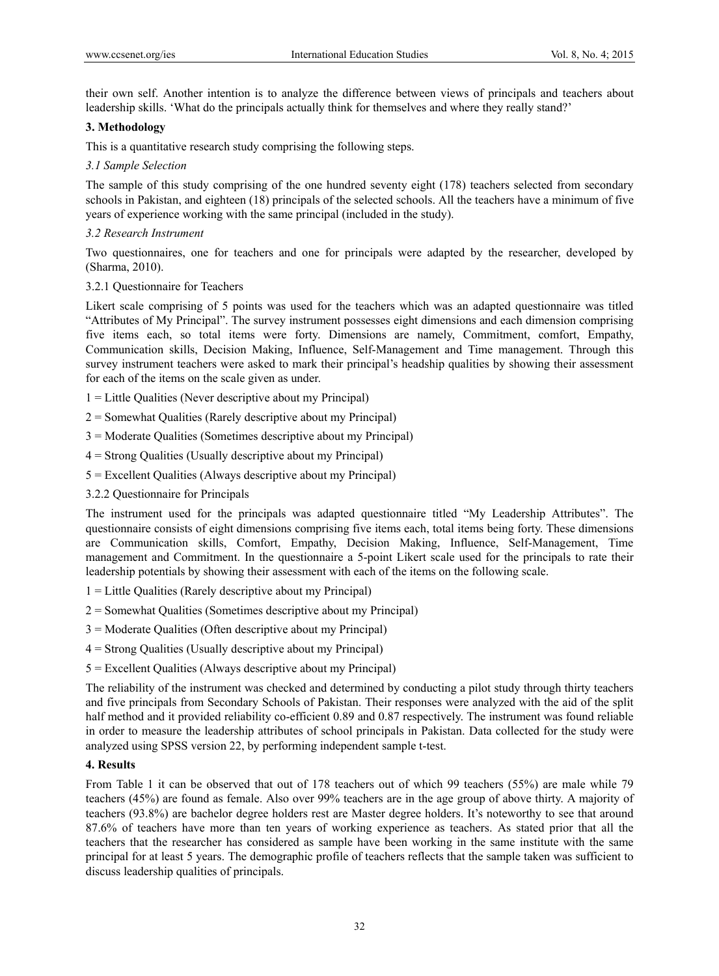their own self. Another intention is to analyze the difference between views of principals and teachers about leadership skills. 'What do the principals actually think for themselves and where they really stand?'

#### **3. Methodology**

This is a quantitative research study comprising the following steps.

#### *3.1 Sample Selection*

The sample of this study comprising of the one hundred seventy eight (178) teachers selected from secondary schools in Pakistan, and eighteen (18) principals of the selected schools. All the teachers have a minimum of five years of experience working with the same principal (included in the study).

# *3.2 Research Instrument*

Two questionnaires, one for teachers and one for principals were adapted by the researcher, developed by (Sharma, 2010).

# 3.2.1 Questionnaire for Teachers

Likert scale comprising of 5 points was used for the teachers which was an adapted questionnaire was titled "Attributes of My Principal". The survey instrument possesses eight dimensions and each dimension comprising five items each, so total items were forty. Dimensions are namely, Commitment, comfort, Empathy, Communication skills, Decision Making, Influence, Self-Management and Time management. Through this survey instrument teachers were asked to mark their principal's headship qualities by showing their assessment for each of the items on the scale given as under.

- 1 = Little Qualities (Never descriptive about my Principal)
- $2 =$  Somewhat Qualities (Rarely descriptive about my Principal)
- 3 = Moderate Qualities (Sometimes descriptive about my Principal)
- 4 = Strong Qualities (Usually descriptive about my Principal)
- 5 = Excellent Qualities (Always descriptive about my Principal)
- 3.2.2 Questionnaire for Principals

The instrument used for the principals was adapted questionnaire titled "My Leadership Attributes". The questionnaire consists of eight dimensions comprising five items each, total items being forty. These dimensions are Communication skills, Comfort, Empathy, Decision Making, Influence, Self-Management, Time management and Commitment. In the questionnaire a 5-point Likert scale used for the principals to rate their leadership potentials by showing their assessment with each of the items on the following scale.

- 1 = Little Qualities (Rarely descriptive about my Principal)
- 2 = Somewhat Qualities (Sometimes descriptive about my Principal)
- 3 = Moderate Qualities (Often descriptive about my Principal)
- 4 = Strong Qualities (Usually descriptive about my Principal)
- 5 = Excellent Qualities (Always descriptive about my Principal)

The reliability of the instrument was checked and determined by conducting a pilot study through thirty teachers and five principals from Secondary Schools of Pakistan. Their responses were analyzed with the aid of the split half method and it provided reliability co-efficient 0.89 and 0.87 respectively. The instrument was found reliable in order to measure the leadership attributes of school principals in Pakistan. Data collected for the study were analyzed using SPSS version 22, by performing independent sample t-test.

#### **4. Results**

From Table 1 it can be observed that out of 178 teachers out of which 99 teachers (55%) are male while 79 teachers (45%) are found as female. Also over 99% teachers are in the age group of above thirty. A majority of teachers (93.8%) are bachelor degree holders rest are Master degree holders. It's noteworthy to see that around 87.6% of teachers have more than ten years of working experience as teachers. As stated prior that all the teachers that the researcher has considered as sample have been working in the same institute with the same principal for at least 5 years. The demographic profile of teachers reflects that the sample taken was sufficient to discuss leadership qualities of principals.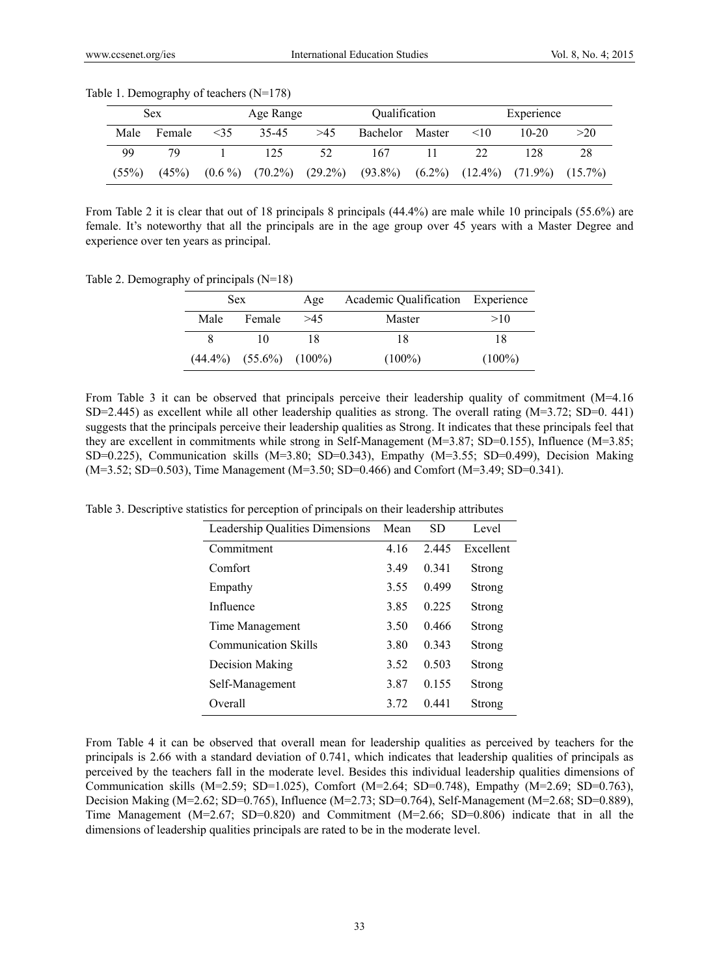|       | <b>Sex</b> |           | Age Range |     | <i><b>Oualification</b></i>                                                           |        |           | Experience |     |
|-------|------------|-----------|-----------|-----|---------------------------------------------------------------------------------------|--------|-----------|------------|-----|
| Male  | Female     | $\leq$ 35 | 35-45     | >45 | <b>Bachelor</b>                                                                       | Master | $\leq 10$ | $10-20$    | >20 |
| 99    | 70         |           | 125       | 52  | 167                                                                                   |        | 22        | 128        | 28  |
| (55%) | (45%)      |           |           |     | $(0.6\%)$ $(70.2\%)$ $(29.2\%)$ $(93.8\%)$ $(6.2\%)$ $(12.4\%)$ $(71.9\%)$ $(15.7\%)$ |        |           |            |     |

Table 1. Demography of teachers (N=178)

From Table 2 it is clear that out of 18 principals 8 principals (44.4%) are male while 10 principals (55.6%) are female. It's noteworthy that all the principals are in the age group over 45 years with a Master Degree and experience over ten years as principal.

Table 2. Demography of principals (N=18)

|      | Sex.                            | Age | Academic Qualification Experience |           |
|------|---------------------------------|-----|-----------------------------------|-----------|
| Male | Female                          | >45 | Master                            | >10       |
| 8    | 10                              |     | 18                                | 18        |
|      | $(44.4\%)$ $(55.6\%)$ $(100\%)$ |     | $(100\%)$                         | $(100\%)$ |

From Table 3 it can be observed that principals perceive their leadership quality of commitment (M=4.16) SD=2.445) as excellent while all other leadership qualities as strong. The overall rating  $(M=3.72; SD=0.441)$ suggests that the principals perceive their leadership qualities as Strong. It indicates that these principals feel that they are excellent in commitments while strong in Self-Management (M=3.87; SD=0.155), Influence (M=3.85; SD=0.225), Communication skills (M=3.80; SD=0.343), Empathy (M=3.55; SD=0.499), Decision Making (M=3.52; SD=0.503), Time Management (M=3.50; SD=0.466) and Comfort (M=3.49; SD=0.341).

Table 3. Descriptive statistics for perception of principals on their leadership attributes

| Leadership Qualities Dimensions | Mean | <b>SD</b> | Level         |
|---------------------------------|------|-----------|---------------|
| Commitment                      | 4.16 | 2445      | Excellent     |
| Comfort                         | 3.49 | 0 341     | Strong        |
| Empathy                         | 3.55 | 0.499     | Strong        |
| Influence                       | 3.85 | 0 2 2 5   | <b>Strong</b> |
| Time Management                 | 3.50 | 0.466     | Strong        |
| <b>Communication Skills</b>     | 3.80 | 0 3 4 3   | Strong        |
| Decision Making                 | 3.52 | 0.503     | Strong        |
| Self-Management                 | 3.87 | 0.155     | Strong        |
| Overall                         | 3.72 | 0.441     | Strong        |

From Table 4 it can be observed that overall mean for leadership qualities as perceived by teachers for the principals is 2.66 with a standard deviation of 0.741, which indicates that leadership qualities of principals as perceived by the teachers fall in the moderate level. Besides this individual leadership qualities dimensions of Communication skills (M=2.59; SD=1.025), Comfort (M=2.64; SD=0.748), Empathy (M=2.69; SD=0.763), Decision Making (M=2.62; SD=0.765), Influence (M=2.73; SD=0.764), Self-Management (M=2.68; SD=0.889), Time Management (M=2.67; SD=0.820) and Commitment (M=2.66; SD=0.806) indicate that in all the dimensions of leadership qualities principals are rated to be in the moderate level.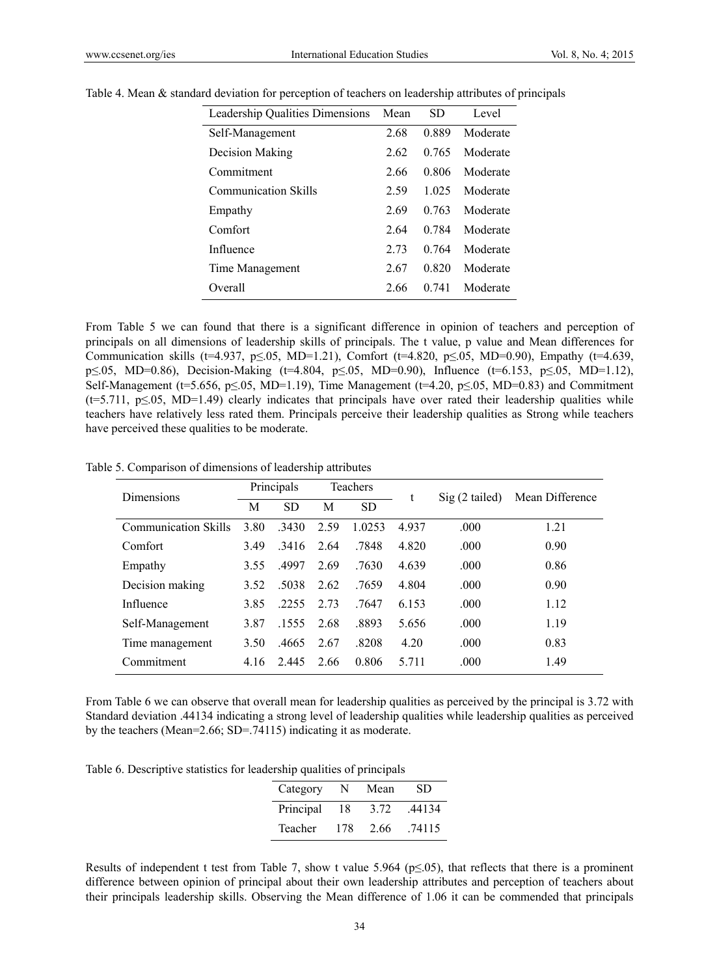| <b>Leadership Qualities Dimensions</b> | Mean | SD    | Level    |
|----------------------------------------|------|-------|----------|
| Self-Management                        | 2.68 | 0.889 | Moderate |
| Decision Making                        | 2.62 | 0.765 | Moderate |
| Commitment                             | 2.66 | 0.806 | Moderate |
| <b>Communication Skills</b>            | 2.59 | 1 025 | Moderate |
| Empathy                                | 2.69 | 0.763 | Moderate |
| Comfort                                | 2.64 | 0.784 | Moderate |
| Influence                              | 2.73 | 0.764 | Moderate |
| Time Management                        | 2.67 | 0.820 | Moderate |
| Overall                                | 2.66 | 0.741 | Moderate |

Table 4. Mean & standard deviation for perception of teachers on leadership attributes of principals

From Table 5 we can found that there is a significant difference in opinion of teachers and perception of principals on all dimensions of leadership skills of principals. The t value, p value and Mean differences for Communication skills (t=4.937, p≤.05, MD=1.21), Comfort (t=4.820, p≤.05, MD=0.90), Empathy (t=4.639, p≤.05, MD=0.86), Decision-Making (t=4.804, p≤.05, MD=0.90), Influence (t=6.153, p≤.05, MD=1.12), Self-Management (t=5.656, p $\leq$ .05, MD=1.19), Time Management (t=4.20, p $\leq$ .05, MD=0.83) and Commitment  $(t=5.711, p\le 0.05, MD=1.49)$  clearly indicates that principals have over rated their leadership qualities while teachers have relatively less rated them. Principals perceive their leadership qualities as Strong while teachers have perceived these qualities to be moderate.

Table 5. Comparison of dimensions of leadership attributes

| <b>Dimensions</b>           | Principals |           | Teachers |           | t     | $\text{Sig}(2 \text{ tailed})$ | Mean Difference |  |
|-----------------------------|------------|-----------|----------|-----------|-------|--------------------------------|-----------------|--|
|                             | M          | <b>SD</b> | M        | <b>SD</b> |       |                                |                 |  |
| <b>Communication Skills</b> | 3.80       | .3430     | 2.59     | 1.0253    | 4937  | .000                           | 1.21            |  |
| Comfort                     | 3.49       | .3416     | 2.64     | .7848     | 4.820 | .000                           | 0.90            |  |
| Empathy                     | 3.55       | .4997     | 2.69     | .7630     | 4.639 | .000                           | 0.86            |  |
| Decision making             | 3.52       | .5038     | 2.62     | .7659     | 4.804 | .000                           | 0.90            |  |
| Influence                   | 3.85       | .2255     | 2.73     | .7647     | 6.153 | .000                           | 1.12            |  |
| Self-Management             | 3.87       | .1555     | 2.68     | .8893     | 5.656 | .000                           | 1.19            |  |
| Time management             | 3.50       | .4665     | 2.67     | .8208     | 4.20  | .000                           | 0.83            |  |
| Commitment                  | 4.16       | 2.445     | 2.66     | 0.806     | 5.711 | .000                           | 1.49            |  |

From Table 6 we can observe that overall mean for leadership qualities as perceived by the principal is 3.72 with Standard deviation .44134 indicating a strong level of leadership qualities while leadership qualities as perceived by the teachers (Mean=2.66; SD=.74115) indicating it as moderate.

Table 6. Descriptive statistics for leadership qualities of principals

| Category  | N   | Mean | SD     |
|-----------|-----|------|--------|
| Principal | 18  | 3.72 | .44134 |
| Teacher   | 178 | 2.66 | .74115 |

Results of independent t test from Table 7, show t value 5.964 ( $p\leq$ .05), that reflects that there is a prominent difference between opinion of principal about their own leadership attributes and perception of teachers about their principals leadership skills. Observing the Mean difference of 1.06 it can be commended that principals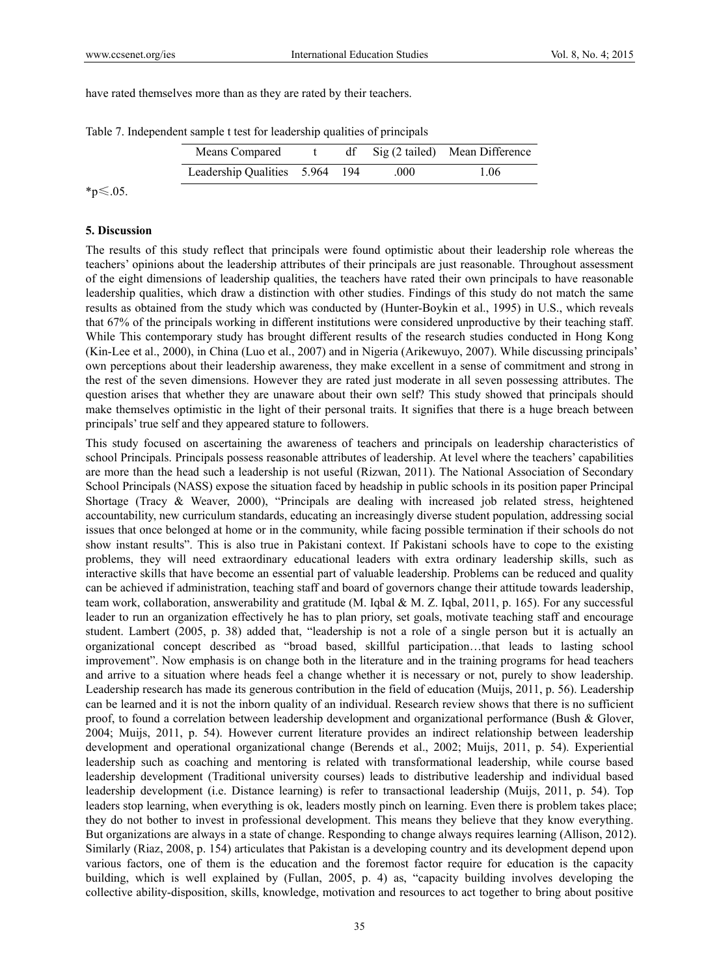have rated themselves more than as they are rated by their teachers.

| Means Compared                 |  |      | df Sig (2 tailed) Mean Difference |
|--------------------------------|--|------|-----------------------------------|
| Leadership Qualities 5.964 194 |  | .000 | 1.06                              |

Table 7. Independent sample t test for leadership qualities of principals

\*p≤.05.

#### **5. Discussion**

The results of this study reflect that principals were found optimistic about their leadership role whereas the teachers' opinions about the leadership attributes of their principals are just reasonable. Throughout assessment of the eight dimensions of leadership qualities, the teachers have rated their own principals to have reasonable leadership qualities, which draw a distinction with other studies. Findings of this study do not match the same results as obtained from the study which was conducted by (Hunter-Boykin et al., 1995) in U.S., which reveals that 67% of the principals working in different institutions were considered unproductive by their teaching staff. While This contemporary study has brought different results of the research studies conducted in Hong Kong (Kin-Lee et al., 2000), in China (Luo et al., 2007) and in Nigeria (Arikewuyo, 2007). While discussing principals' own perceptions about their leadership awareness, they make excellent in a sense of commitment and strong in the rest of the seven dimensions. However they are rated just moderate in all seven possessing attributes. The question arises that whether they are unaware about their own self? This study showed that principals should make themselves optimistic in the light of their personal traits. It signifies that there is a huge breach between principals' true self and they appeared stature to followers.

This study focused on ascertaining the awareness of teachers and principals on leadership characteristics of school Principals. Principals possess reasonable attributes of leadership. At level where the teachers' capabilities are more than the head such a leadership is not useful (Rizwan, 2011). The National Association of Secondary School Principals (NASS) expose the situation faced by headship in public schools in its position paper Principal Shortage (Tracy & Weaver, 2000), "Principals are dealing with increased job related stress, heightened accountability, new curriculum standards, educating an increasingly diverse student population, addressing social issues that once belonged at home or in the community, while facing possible termination if their schools do not show instant results". This is also true in Pakistani context. If Pakistani schools have to cope to the existing problems, they will need extraordinary educational leaders with extra ordinary leadership skills, such as interactive skills that have become an essential part of valuable leadership. Problems can be reduced and quality can be achieved if administration, teaching staff and board of governors change their attitude towards leadership, team work, collaboration, answerability and gratitude (M. Iqbal & M. Z. Iqbal, 2011, p. 165). For any successful leader to run an organization effectively he has to plan priory, set goals, motivate teaching staff and encourage student. Lambert (2005, p. 38) added that, "leadership is not a role of a single person but it is actually an organizational concept described as "broad based, skillful participation…that leads to lasting school improvement". Now emphasis is on change both in the literature and in the training programs for head teachers and arrive to a situation where heads feel a change whether it is necessary or not, purely to show leadership. Leadership research has made its generous contribution in the field of education (Muijs, 2011, p. 56). Leadership can be learned and it is not the inborn quality of an individual. Research review shows that there is no sufficient proof, to found a correlation between leadership development and organizational performance (Bush & Glover, 2004; Muijs, 2011, p. 54). However current literature provides an indirect relationship between leadership development and operational organizational change (Berends et al., 2002; Muijs, 2011, p. 54). Experiential leadership such as coaching and mentoring is related with transformational leadership, while course based leadership development (Traditional university courses) leads to distributive leadership and individual based leadership development (i.e. Distance learning) is refer to transactional leadership (Muijs, 2011, p. 54). Top leaders stop learning, when everything is ok, leaders mostly pinch on learning. Even there is problem takes place; they do not bother to invest in professional development. This means they believe that they know everything. But organizations are always in a state of change. Responding to change always requires learning (Allison, 2012). Similarly (Riaz, 2008, p. 154) articulates that Pakistan is a developing country and its development depend upon various factors, one of them is the education and the foremost factor require for education is the capacity building, which is well explained by (Fullan, 2005, p. 4) as, "capacity building involves developing the collective ability-disposition, skills, knowledge, motivation and resources to act together to bring about positive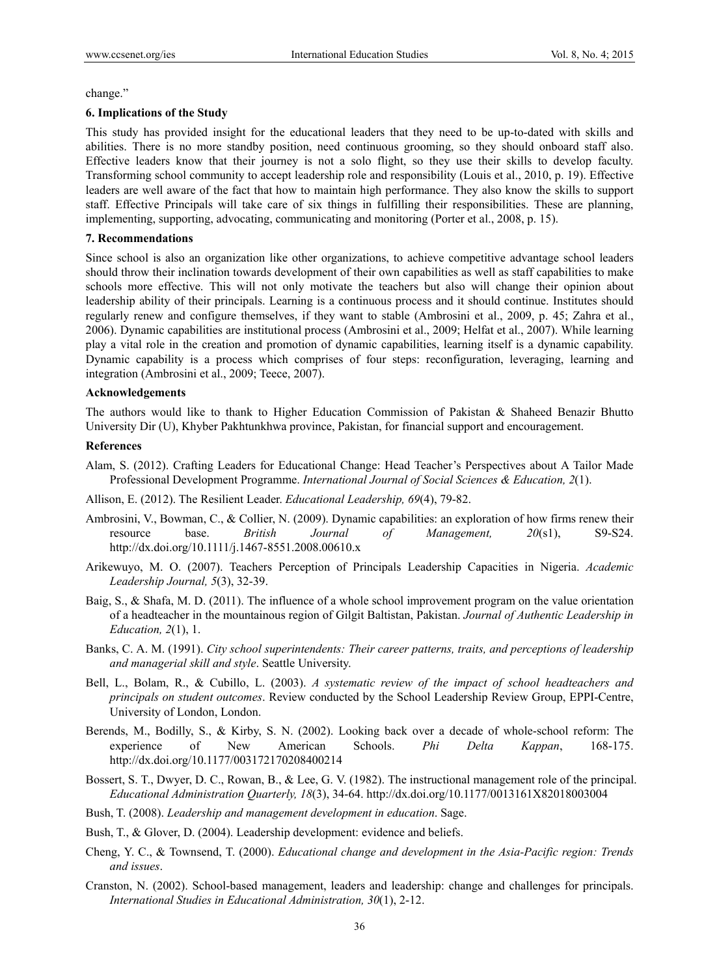change."

#### **6. Implications of the Study**

This study has provided insight for the educational leaders that they need to be up-to-dated with skills and abilities. There is no more standby position, need continuous grooming, so they should onboard staff also. Effective leaders know that their journey is not a solo flight, so they use their skills to develop faculty. Transforming school community to accept leadership role and responsibility (Louis et al., 2010, p. 19). Effective leaders are well aware of the fact that how to maintain high performance. They also know the skills to support staff. Effective Principals will take care of six things in fulfilling their responsibilities. These are planning, implementing, supporting, advocating, communicating and monitoring (Porter et al., 2008, p. 15).

#### **7. Recommendations**

Since school is also an organization like other organizations, to achieve competitive advantage school leaders should throw their inclination towards development of their own capabilities as well as staff capabilities to make schools more effective. This will not only motivate the teachers but also will change their opinion about leadership ability of their principals. Learning is a continuous process and it should continue. Institutes should regularly renew and configure themselves, if they want to stable (Ambrosini et al., 2009, p. 45; Zahra et al., 2006). Dynamic capabilities are institutional process (Ambrosini et al., 2009; Helfat et al., 2007). While learning play a vital role in the creation and promotion of dynamic capabilities, learning itself is a dynamic capability. Dynamic capability is a process which comprises of four steps: reconfiguration, leveraging, learning and integration (Ambrosini et al., 2009; Teece, 2007).

#### **Acknowledgements**

The authors would like to thank to Higher Education Commission of Pakistan & Shaheed Benazir Bhutto University Dir (U), Khyber Pakhtunkhwa province, Pakistan, for financial support and encouragement.

#### **References**

- Alam, S. (2012). Crafting Leaders for Educational Change: Head Teacher's Perspectives about A Tailor Made Professional Development Programme. *International Journal of Social Sciences & Education, 2*(1).
- Allison, E. (2012). The Resilient Leader. *Educational Leadership, 69*(4), 79-82.
- Ambrosini, V., Bowman, C., & Collier, N. (2009). Dynamic capabilities: an exploration of how firms renew their resource base. *British Journal of Management, 20*(s1), S9-S24. http://dx.doi.org/10.1111/j.1467-8551.2008.00610.x
- Arikewuyo, M. O. (2007). Teachers Perception of Principals Leadership Capacities in Nigeria. *Academic Leadership Journal, 5*(3), 32-39.
- Baig, S., & Shafa, M. D. (2011). The influence of a whole school improvement program on the value orientation of a headteacher in the mountainous region of Gilgit Baltistan, Pakistan. *Journal of Authentic Leadership in Education, 2*(1), 1.
- Banks, C. A. M. (1991). *City school superintendents: Their career patterns, traits, and perceptions of leadership and managerial skill and style*. Seattle University.
- Bell, L., Bolam, R., & Cubillo, L. (2003). *A systematic review of the impact of school headteachers and principals on student outcomes*. Review conducted by the School Leadership Review Group, EPPI-Centre, University of London, London.
- Berends, M., Bodilly, S., & Kirby, S. N. (2002). Looking back over a decade of whole-school reform: The experience of New American Schools. *Phi Delta Kappan*, 168-175. http://dx.doi.org/10.1177/003172170208400214
- Bossert, S. T., Dwyer, D. C., Rowan, B., & Lee, G. V. (1982). The instructional management role of the principal. *Educational Administration Quarterly, 18*(3), 34-64. http://dx.doi.org/10.1177/0013161X82018003004
- Bush, T. (2008). *Leadership and management development in education*. Sage.
- Bush, T., & Glover, D. (2004). Leadership development: evidence and beliefs.
- Cheng, Y. C., & Townsend, T. (2000). *Educational change and development in the Asia-Pacific region: Trends and issues*.
- Cranston, N. (2002). School-based management, leaders and leadership: change and challenges for principals. *International Studies in Educational Administration, 30*(1), 2-12.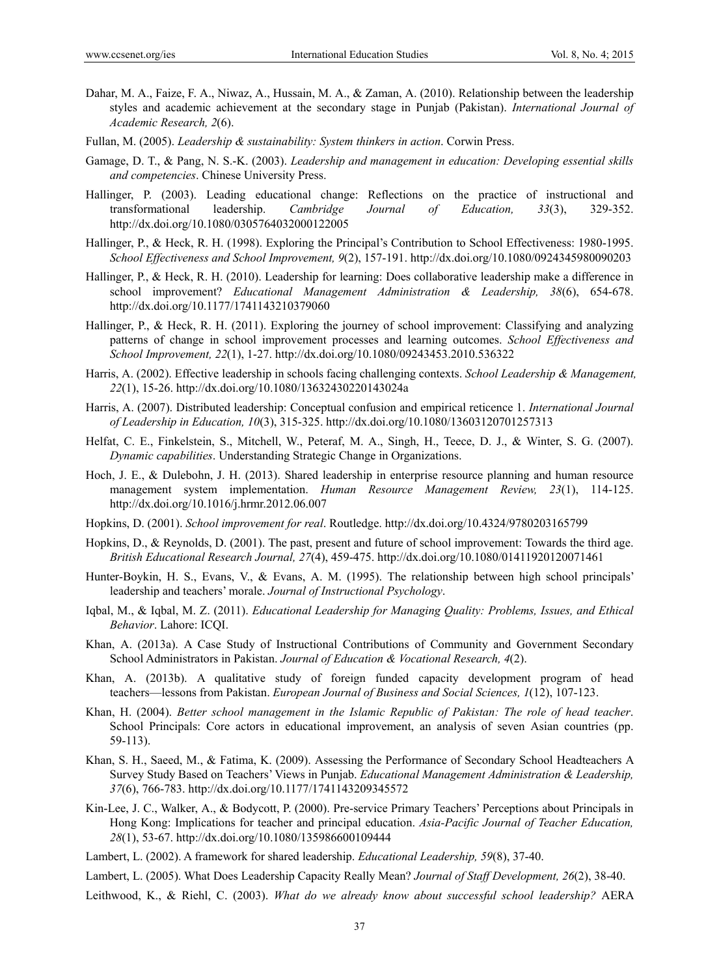- Dahar, M. A., Faize, F. A., Niwaz, A., Hussain, M. A., & Zaman, A. (2010). Relationship between the leadership styles and academic achievement at the secondary stage in Punjab (Pakistan). *International Journal of Academic Research, 2*(6).
- Fullan, M. (2005). *Leadership & sustainability: System thinkers in action*. Corwin Press.
- Gamage, D. T., & Pang, N. S.-K. (2003). *Leadership and management in education: Developing essential skills and competencies*. Chinese University Press.
- Hallinger, P. (2003). Leading educational change: Reflections on the practice of instructional and transformational leadership. *Cambridge Journal of Education, 33*(3), 329-352. http://dx.doi.org/10.1080/0305764032000122005
- Hallinger, P., & Heck, R. H. (1998). Exploring the Principal's Contribution to School Effectiveness: 1980-1995. *School Effectiveness and School Improvement, 9*(2), 157-191. http://dx.doi.org/10.1080/0924345980090203
- Hallinger, P., & Heck, R. H. (2010). Leadership for learning: Does collaborative leadership make a difference in school improvement? *Educational Management Administration & Leadership, 38*(6), 654-678. http://dx.doi.org/10.1177/1741143210379060
- Hallinger, P., & Heck, R. H. (2011). Exploring the journey of school improvement: Classifying and analyzing patterns of change in school improvement processes and learning outcomes. *School Effectiveness and School Improvement, 22*(1), 1-27. http://dx.doi.org/10.1080/09243453.2010.536322
- Harris, A. (2002). Effective leadership in schools facing challenging contexts. *School Leadership & Management, 22*(1), 15-26. http://dx.doi.org/10.1080/13632430220143024a
- Harris, A. (2007). Distributed leadership: Conceptual confusion and empirical reticence 1. *International Journal of Leadership in Education, 10*(3), 315-325. http://dx.doi.org/10.1080/13603120701257313
- Helfat, C. E., Finkelstein, S., Mitchell, W., Peteraf, M. A., Singh, H., Teece, D. J., & Winter, S. G. (2007). *Dynamic capabilities*. Understanding Strategic Change in Organizations.
- Hoch, J. E., & Dulebohn, J. H. (2013). Shared leadership in enterprise resource planning and human resource management system implementation. *Human Resource Management Review, 23*(1), 114-125. http://dx.doi.org/10.1016/j.hrmr.2012.06.007
- Hopkins, D. (2001). *School improvement for real*. Routledge. http://dx.doi.org/10.4324/9780203165799
- Hopkins, D., & Reynolds, D. (2001). The past, present and future of school improvement: Towards the third age. *British Educational Research Journal, 27*(4), 459-475. http://dx.doi.org/10.1080/01411920120071461
- Hunter-Boykin, H. S., Evans, V., & Evans, A. M. (1995). The relationship between high school principals' leadership and teachers' morale. *Journal of Instructional Psychology*.
- Iqbal, M., & Iqbal, M. Z. (2011). *Educational Leadership for Managing Quality: Problems, Issues, and Ethical Behavior*. Lahore: ICQI.
- Khan, A. (2013a). A Case Study of Instructional Contributions of Community and Government Secondary School Administrators in Pakistan. *Journal of Education & Vocational Research, 4*(2).
- Khan, A. (2013b). A qualitative study of foreign funded capacity development program of head teachers—lessons from Pakistan. *European Journal of Business and Social Sciences, 1*(12), 107-123.
- Khan, H. (2004). *Better school management in the Islamic Republic of Pakistan: The role of head teacher*. School Principals: Core actors in educational improvement, an analysis of seven Asian countries (pp. 59-113).
- Khan, S. H., Saeed, M., & Fatima, K. (2009). Assessing the Performance of Secondary School Headteachers A Survey Study Based on Teachers' Views in Punjab. *Educational Management Administration & Leadership, 37*(6), 766-783. http://dx.doi.org/10.1177/1741143209345572
- Kin-Lee, J. C., Walker, A., & Bodycott, P. (2000). Pre-service Primary Teachers' Perceptions about Principals in Hong Kong: Implications for teacher and principal education. *Asia-Pacific Journal of Teacher Education, 28*(1), 53-67. http://dx.doi.org/10.1080/135986600109444
- Lambert, L. (2002). A framework for shared leadership. *Educational Leadership, 59*(8), 37-40.

Lambert, L. (2005). What Does Leadership Capacity Really Mean? *Journal of Staff Development, 26*(2), 38-40.

Leithwood, K., & Riehl, C. (2003). *What do we already know about successful school leadership?* AERA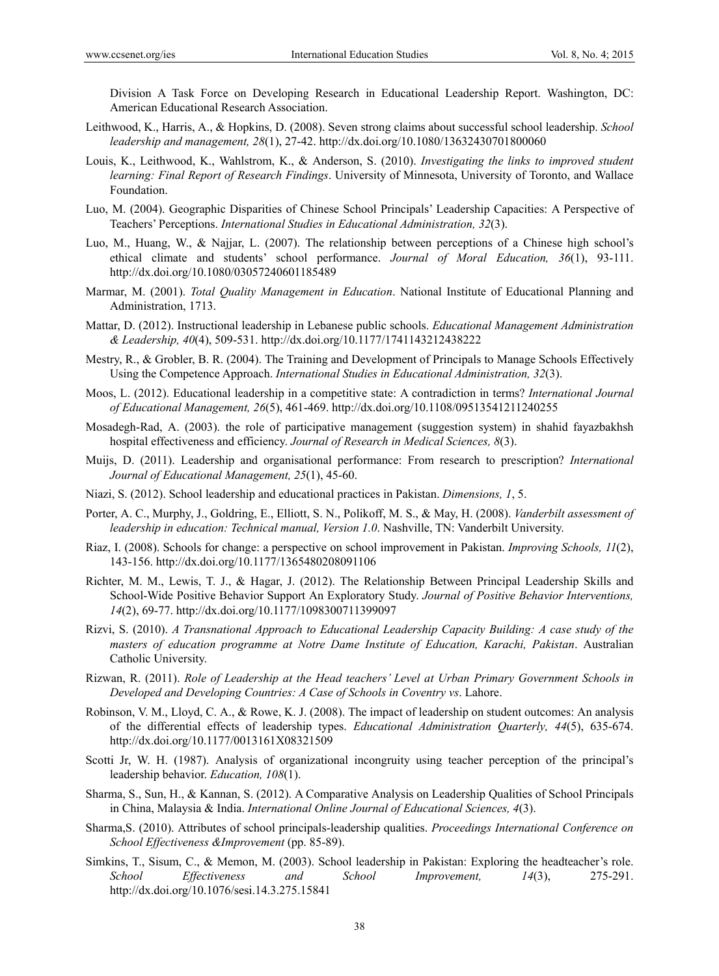Division A Task Force on Developing Research in Educational Leadership Report. Washington, DC: American Educational Research Association.

- Leithwood, K., Harris, A., & Hopkins, D. (2008). Seven strong claims about successful school leadership. *School leadership and management, 28*(1), 27-42. http://dx.doi.org/10.1080/13632430701800060
- Louis, K., Leithwood, K., Wahlstrom, K., & Anderson, S. (2010). *Investigating the links to improved student learning: Final Report of Research Findings*. University of Minnesota, University of Toronto, and Wallace Foundation.
- Luo, M. (2004). Geographic Disparities of Chinese School Principals' Leadership Capacities: A Perspective of Teachers' Perceptions. *International Studies in Educational Administration, 32*(3).
- Luo, M., Huang, W., & Najjar, L. (2007). The relationship between perceptions of a Chinese high school's ethical climate and students' school performance. *Journal of Moral Education, 36*(1), 93-111. http://dx.doi.org/10.1080/03057240601185489
- Marmar, M. (2001). *Total Quality Management in Education*. National Institute of Educational Planning and Administration, 1713.
- Mattar, D. (2012). Instructional leadership in Lebanese public schools. *Educational Management Administration & Leadership, 40*(4), 509-531. http://dx.doi.org/10.1177/1741143212438222
- Mestry, R., & Grobler, B. R. (2004). The Training and Development of Principals to Manage Schools Effectively Using the Competence Approach. *International Studies in Educational Administration, 32*(3).
- Moos, L. (2012). Educational leadership in a competitive state: A contradiction in terms? *International Journal of Educational Management, 26*(5), 461-469. http://dx.doi.org/10.1108/09513541211240255
- Mosadegh-Rad, A. (2003). the role of participative management (suggestion system) in shahid fayazbakhsh hospital effectiveness and efficiency. *Journal of Research in Medical Sciences, 8*(3).
- Muijs, D. (2011). Leadership and organisational performance: From research to prescription? *International Journal of Educational Management, 25*(1), 45-60.
- Niazi, S. (2012). School leadership and educational practices in Pakistan. *Dimensions, 1*, 5.
- Porter, A. C., Murphy, J., Goldring, E., Elliott, S. N., Polikoff, M. S., & May, H. (2008). *Vanderbilt assessment of leadership in education: Technical manual, Version 1.0*. Nashville, TN: Vanderbilt University.
- Riaz, I. (2008). Schools for change: a perspective on school improvement in Pakistan. *Improving Schools, 11*(2), 143-156. http://dx.doi.org/10.1177/1365480208091106
- Richter, M. M., Lewis, T. J., & Hagar, J. (2012). The Relationship Between Principal Leadership Skills and School-Wide Positive Behavior Support An Exploratory Study. *Journal of Positive Behavior Interventions, 14*(2), 69-77. http://dx.doi.org/10.1177/1098300711399097
- Rizvi, S. (2010). *A Transnational Approach to Educational Leadership Capacity Building: A case study of the masters of education programme at Notre Dame Institute of Education, Karachi, Pakistan*. Australian Catholic University.
- Rizwan, R. (2011). *Role of Leadership at the Head teachers' Level at Urban Primary Government Schools in Developed and Developing Countries: A Case of Schools in Coventry vs*. Lahore.
- Robinson, V. M., Lloyd, C. A., & Rowe, K. J. (2008). The impact of leadership on student outcomes: An analysis of the differential effects of leadership types. *Educational Administration Quarterly, 44*(5), 635-674. http://dx.doi.org/10.1177/0013161X08321509
- Scotti Jr, W. H. (1987). Analysis of organizational incongruity using teacher perception of the principal's leadership behavior. *Education, 108*(1).
- Sharma, S., Sun, H., & Kannan, S. (2012). A Comparative Analysis on Leadership Qualities of School Principals in China, Malaysia & India. *International Online Journal of Educational Sciences, 4*(3).
- Sharma,S. (2010). Attributes of school principals-leadership qualities. *Proceedings International Conference on School Effectiveness &Improvement* (pp. 85-89).
- Simkins, T., Sisum, C., & Memon, M. (2003). School leadership in Pakistan: Exploring the headteacher's role. *School Effectiveness and School Improvement, 14*(3), 275-291. http://dx.doi.org/10.1076/sesi.14.3.275.15841